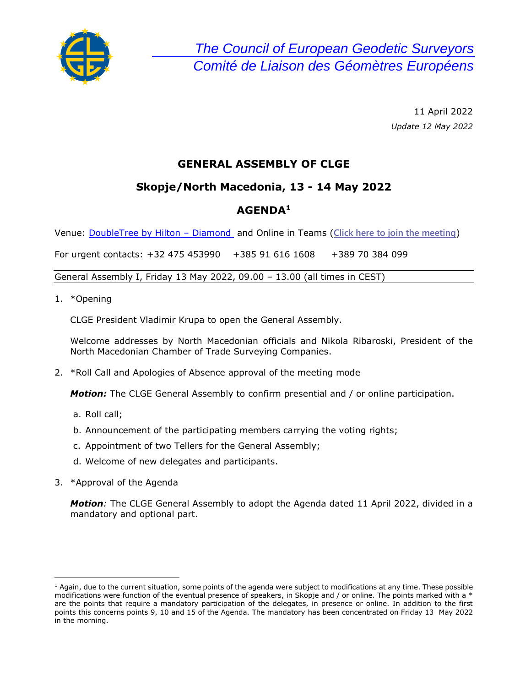

> 11 April 2022 *Update 12 May 2022*

# **GENERAL ASSEMBLY OF CLGE**

## **Skopje/North Macedonia, 13 - 14 May 2022**

## **AGENDA<sup>1</sup>**

Venue: [DoubleTree by Hilton](https://www.hilton.com/en/hotels/skpabdi-doubletree-skopje/) – Diamond and Online in Teams (**[Click here to join the meeting](https://teams.microsoft.com/l/meetup-join/19%3ameeting_MzA0MmM4NWMtNDljMC00MzY5LTlhNjYtMWM3ZDY2ZjllZDFk%40thread.v2/0?context=%7b%22Tid%22%3a%2292263a0f-2aa8-4701-8738-3bcdcd784563%22%2c%22Oid%22%3a%221a28707a-8fca-47f7-bcee-b8bc0e0a8600%22%7d)**)

For urgent contacts: +32 475 453990 +385 91 616 1608 +389 70 384 099

General Assembly I, Friday 13 May 2022, 09.00 – 13.00 (all times in CEST)

1. \*Opening

CLGE President Vladimir Krupa to open the General Assembly.

Welcome addresses by North Macedonian officials and Nikola Ribaroski, President of the North Macedonian Chamber of Trade Surveying Companies.

2. \*Roll Call and Apologies of Absence approval of the meeting mode

*Motion:* The CLGE General Assembly to confirm presential and / or online participation.

- a. Roll call;
- b. Announcement of the participating members carrying the voting rights;
- c. Appointment of two Tellers for the General Assembly;
- d. Welcome of new delegates and participants.
- 3. \*Approval of the Agenda

*Motion:* The CLGE General Assembly to adopt the Agenda dated 11 April 2022, divided in a mandatory and optional part.

 $<sup>1</sup>$  Again, due to the current situation, some points of the agenda were subject to modifications at any time. These possible</sup> modifications were function of the eventual presence of speakers, in Skopje and / or online. The points marked with a  $*$ are the points that require a mandatory participation of the delegates, in presence or online. In addition to the first points this concerns points 9, 10 and 15 of the Agenda. The mandatory has been concentrated on Friday 13 May 2022 in the morning.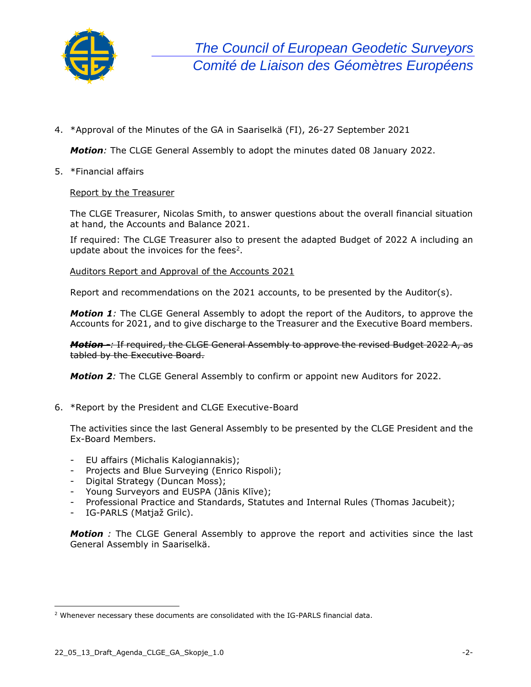

4. \*Approval of the Minutes of the GA in Saariselkä (FI), 26-27 September 2021

*Motion:* The CLGE General Assembly to adopt the minutes dated 08 January 2022.

5. \*Financial affairs

#### Report by the Treasurer

The CLGE Treasurer, Nicolas Smith, to answer questions about the overall financial situation at hand, the Accounts and Balance 2021.

If required: The CLGE Treasurer also to present the adapted Budget of 2022 A including an update about the invoices for the fees<sup>2</sup>.

Auditors Report and Approval of the Accounts 2021

Report and recommendations on the 2021 accounts, to be presented by the Auditor(s).

*Motion 1:* The CLGE General Assembly to adopt the report of the Auditors, to approve the Accounts for 2021, and to give discharge to the Treasurer and the Executive Board members.

*Motion -:* If required, the CLGE General Assembly to approve the revised Budget 2022 A, as tabled by the Executive Board.

*Motion 2:* The CLGE General Assembly to confirm or appoint new Auditors for 2022.

6. \*Report by the President and CLGE Executive-Board

The activities since the last General Assembly to be presented by the CLGE President and the Ex-Board Members.

- EU affairs (Michalis Kalogiannakis);
- Projects and Blue Surveying (Enrico Rispoli);
- Digital Strategy (Duncan Moss);
- Young Surveyors and EUSPA (Jānis Klīve);
- Professional Practice and Standards, Statutes and Internal Rules (Thomas Jacubeit);
- IG-PARLS (Matjaž Grilc).

**Motion** *:* The CLGE General Assembly to approve the report and activities since the last General Assembly in Saariselkä.

<sup>&</sup>lt;sup>2</sup> Whenever necessary these documents are consolidated with the IG-PARLS financial data.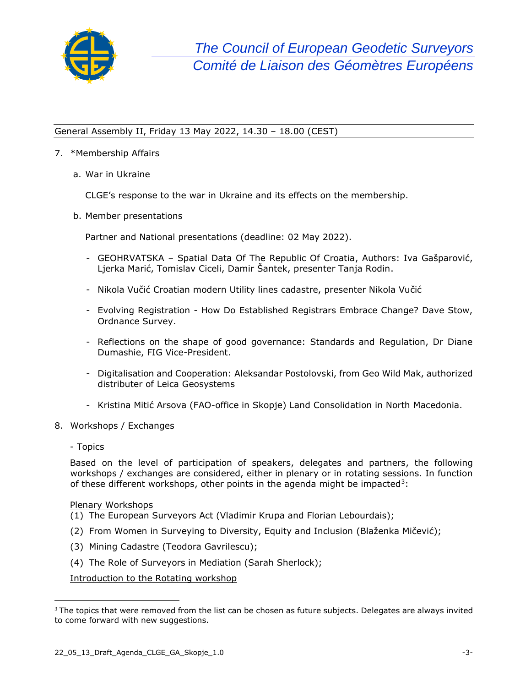

### General Assembly II, Friday 13 May 2022, 14.30 – 18.00 (CEST)

### 7. \*Membership Affairs

a. War in Ukraine

CLGE's response to the war in Ukraine and its effects on the membership.

b. Member presentations

Partner and National presentations (deadline: 02 May 2022).

- GEOHRVATSKA Spatial Data Of The Republic Of Croatia, Authors: Iva Gašparović, Ljerka Marić, Tomislav Ciceli, Damir Šantek, presenter Tanja Rodin.
- Nikola Vučić Croatian modern Utility lines cadastre, presenter Nikola Vučić
- Evolving Registration How Do Established Registrars Embrace Change? Dave Stow, Ordnance Survey.
- Reflections on the shape of good governance: Standards and Regulation, Dr Diane Dumashie, FIG Vice-President.
- Digitalisation and Cooperation: Aleksandar Postolovski, from Geo Wild Mak, authorized distributer of Leica Geosystems
- Kristina Mitić Arsova (FAO-office in Skopje) Land Consolidation in North Macedonia.
- 8. Workshops / Exchanges
	- Topics

Based on the level of participation of speakers, delegates and partners, the following workshops / exchanges are considered, either in plenary or in rotating sessions. In function of these different workshops, other points in the agenda might be impacted<sup>3</sup>:

#### Plenary Workshops

- (1) The European Surveyors Act (Vladimir Krupa and Florian Lebourdais);
- (2) From Women in Surveying to Diversity, Equity and Inclusion (Blaženka Mičević);
- (3) Mining Cadastre (Teodora Gavrilescu);
- (4) The Role of Surveyors in Mediation (Sarah Sherlock);

Introduction to the Rotating workshop

<sup>&</sup>lt;sup>3</sup> The topics that were removed from the list can be chosen as future subjects. Delegates are always invited to come forward with new suggestions.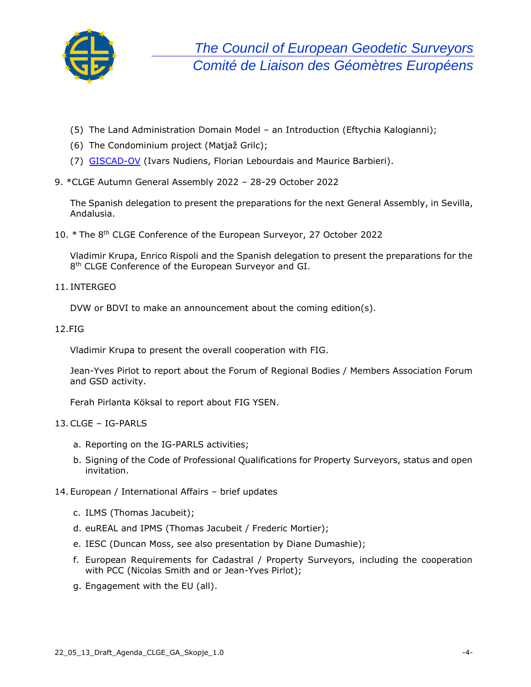

- (5) The Land Administration Domain Model an Introduction (Eftychia Kalogianni);
- (6) The Condominium project (Matjaž Grilc);
- (7) [GISCAD-OV](http://www.giscad-ov.eu/) (Ivars Nudiens, Florian Lebourdais and Maurice Barbieri).
- 9. \*CLGE Autumn General Assembly 2022 28-29 October 2022

The Spanish delegation to present the preparations for the next General Assembly, in Sevilla, Andalusia.

10. \* The 8<sup>th</sup> CLGE Conference of the European Surveyor, 27 October 2022

Vladimir Krupa, Enrico Rispoli and the Spanish delegation to present the preparations for the 8<sup>th</sup> CLGE Conference of the European Surveyor and GI.

11. INTERGEO

DVW or BDVI to make an announcement about the coming edition(s).

12.FIG

Vladimir Krupa to present the overall cooperation with FIG.

Jean-Yves Pirlot to report about the Forum of Regional Bodies / Members Association Forum and GSD activity.

Ferah Pirlanta Köksal to report about FIG YSEN.

#### 13.CLGE – IG-PARLS

- a. Reporting on the IG-PARLS activities;
- b. Signing of the Code of Professional Qualifications for Property Surveyors, status and open invitation.
- 14. European / International Affairs brief updates
	- c. ILMS (Thomas Jacubeit);
	- d. euREAL and IPMS (Thomas Jacubeit / Frederic Mortier);
	- e. IESC (Duncan Moss, see also presentation by Diane Dumashie);
	- f. European Requirements for Cadastral / Property Surveyors, including the cooperation with PCC (Nicolas Smith and or Jean-Yves Pirlot);
	- g. Engagement with the EU (all).